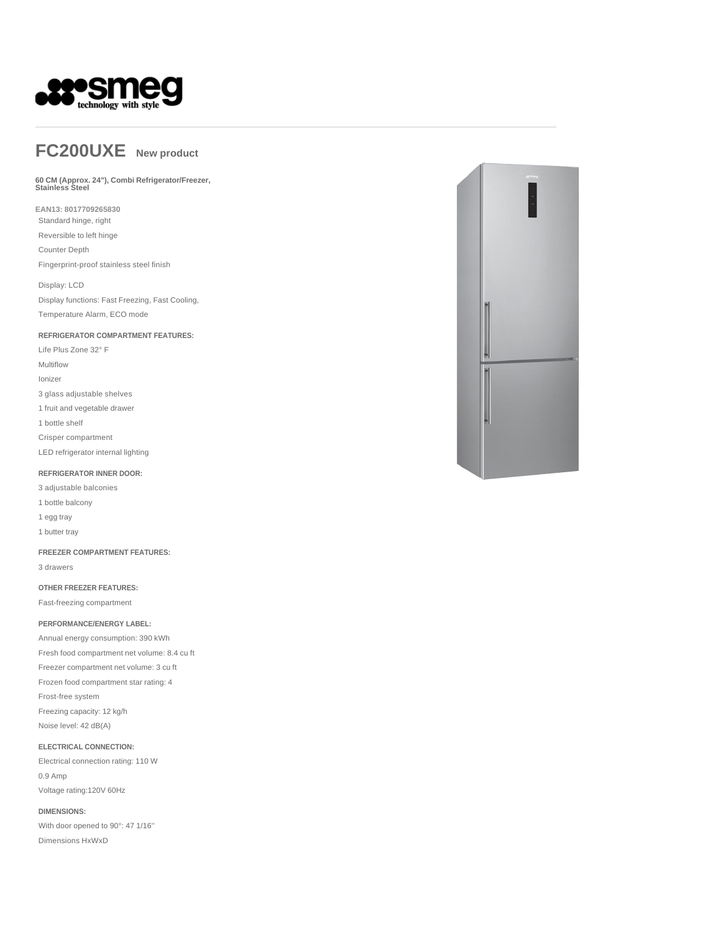

# **FC200UXE New product**

### **60 CM (Approx. 24"), Combi Refrigerator/Freezer, Stainless Steel**

**EAN13: 8017709265830**

Standard hinge, right

Reversible to left hinge Counter Depth

Fingerprint-proof stainless steel finish

Display: LCD Display functions: Fast Freezing, Fast Cooling, Temperature Alarm, ECO mode

**REFRIGERATOR COMPARTMENT FEATURES:**

Life Plus Zone 32° F Multiflow Ionizer

3 glass adjustable shelves

1 fruit and vegetable drawer

1 bottle shelf

Crisper compartment

LED refrigerator internal lighting

#### **REFRIGERATOR INNER DOOR:**

3 adjustable balconies

1 bottle balcony

1 egg tray

1 butter tray

**FREEZER COMPARTMENT FEATURES:**

3 drawers

#### **OTHER FREEZER FEATURES:**

Fast-freezing compartment

**PERFORMANCE/ENERGY LABEL:**

Annual energy consumption: 390 kWh Fresh food compartment net volume: 8.4 cu ft Freezer compartment net volume: 3 cu ft Frozen food compartment star rating: 4 Frost-free system Freezing capacity: 12 kg/h Noise level: 42 dB(A)

#### **ELECTRICAL CONNECTION:**

Electrical connection rating: 110 W 0.9 Amp Voltage rating:120V 60Hz

**DIMENSIONS:**

With door opened to 90°: 47 1/16'' Dimensions HxWxD

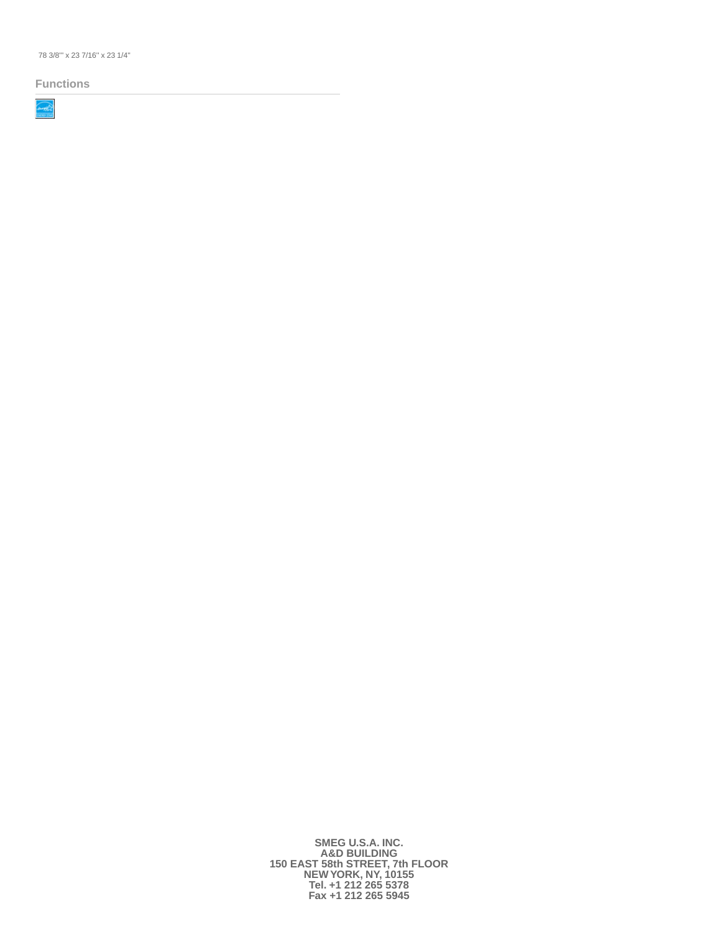78 3/8''' x 23 7/16'' x 23 1/4''

#### **Functions**



**SMEG U.S.A. INC. A&D BUILDING 150 EAST 58th STREET, 7th FLOOR NEW YORK, NY, 10155 Tel. +1 212 265 5378 Fax +1 212 265 5945**